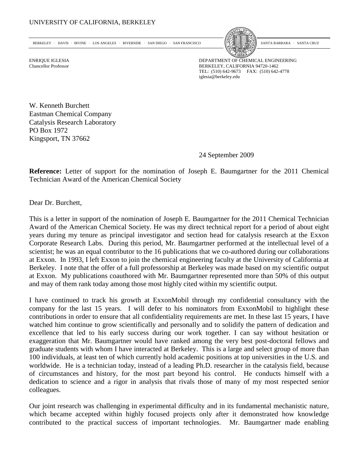BERKELEY · DAVIS · IRVINE · LOS ANGELES · RIVERSIDE · SAN DIEGO · SAN FRANCISCO



SANTA BARBARA · SANTA CRUZ

ENRIQUE IGLESIA DEPARTMENT OF CHEMICAL ENGINEERING Chancellor Professor BERKELEY, CALIFORNIA 94720-1462 TEL: (510) 642-9673 FAX: (510) 642-4778 iglesia@berkeley.edu

W. Kenneth Burchett Eastman Chemical Company Catalysis Research Laboratory PO Box 1972 Kingsport, TN 37662

24 September 2009

**Reference:** Letter of support for the nomination of Joseph E. Baumgartner for the 2011 Chemical Technician Award of the American Chemical Society

Dear Dr. Burchett,

This is a letter in support of the nomination of Joseph E. Baumgartner for the 2011 Chemical Technician Award of the American Chemical Society. He was my direct technical report for a period of about eight years during my tenure as principal investigator and section head for catalysis research at the Exxon Corporate Research Labs. During this period, Mr. Baumgartner performed at the intellectual level of a scientist; he was an equal contributor to the 16 publications that we co-authored during our collaborations at Exxon. In 1993, I left Exxon to join the chemical engineering faculty at the University of California at Berkeley. I note that the offer of a full professorship at Berkeley was made based on my scientific output at Exxon. My publications coauthored with Mr. Baumgartner represented more than 50% of this output and may of them rank today among those most highly cited within my scientific output.

I have continued to track his growth at ExxonMobil through my confidential consultancy with the company for the last 15 years. I will defer to his nominators from ExxonMobil to highlight these contributions in order to ensure that all confidentiality requirements are met. In these last 15 years, I have watched him continue to grow scientifically and personally and to solidify the pattern of dedication and excellence that led to his early success during our work together. I can say without hesitation or exaggeration that Mr. Baumgartner would have ranked among the very best post-doctoral fellows and graduate students with whom I have interacted at Berkeley. This is a large and select group of more than 100 individuals, at least ten of which currently hold academic positions at top universities in the U.S. and worldwide. He is a technician today, instead of a leading Ph.D. researcher in the catalysis field, because of circumstances and history, for the most part beyond his control. He conducts himself with a dedication to science and a rigor in analysis that rivals those of many of my most respected senior colleagues.

Our joint research was challenging in experimental difficulty and in its fundamental mechanistic nature, which became accepted within highly focused projects only after it demonstrated how knowledge contributed to the practical success of important technologies. Mr. Baumgartner made enabling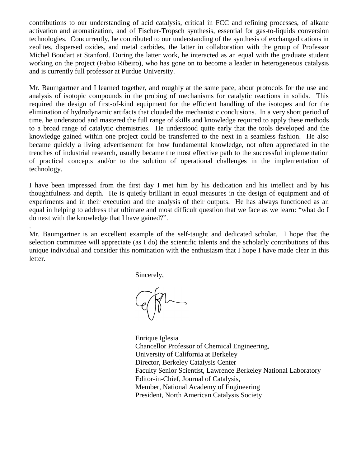contributions to our understanding of acid catalysis, critical in FCC and refining processes, of alkane activation and aromatization, and of Fischer-Tropsch synthesis, essential for gas-to-liquids conversion technologies. Concurrently, he contributed to our understanding of the synthesis of exchanged cations in zeolites, dispersed oxides, and metal carbides, the latter in collaboration with the group of Professor Michel Boudart at Stanford. During the latter work, he interacted as an equal with the graduate student working on the project (Fabio Ribeiro), who has gone on to become a leader in heterogeneous catalysis and is currently full professor at Purdue University.

Mr. Baumgartner and I learned together, and roughly at the same pace, about protocols for the use and analysis of isotopic compounds in the probing of mechanisms for catalytic reactions in solids. This required the design of first-of-kind equipment for the efficient handling of the isotopes and for the elimination of hydrodynamic artifacts that clouded the mechanistic conclusions. In a very short period of time, he understood and mastered the full range of skills and knowledge required to apply these methods to a broad range of catalytic chemistries. He understood quite early that the tools developed and the knowledge gained within one project could be transferred to the next in a seamless fashion. He also became quickly a living advertisement for how fundamental knowledge, not often appreciated in the trenches of industrial research, usually became the most effective path to the successful implementation of practical concepts and/or to the solution of operational challenges in the implementation of technology.

I have been impressed from the first day I met him by his dedication and his intellect and by his thoughtfulness and depth. He is quietly brilliant in equal measures in the design of equipment and of experiments and in their execution and the analysis of their outputs. He has always functioned as an equal in helping to address that ultimate and most difficult question that we face as we learn: "what do I do next with the knowledge that I have gained?".

Mr. Baumgartner is an excellent example of the self-taught and dedicated scholar. I hope that the selection committee will appreciate (as I do) the scientific talents and the scholarly contributions of this unique individual and consider this nomination with the enthusiasm that I hope I have made clear in this letter.

Sincerely,

.

Enrique Iglesia Chancellor Professor of Chemical Engineering, University of California at Berkeley Director, Berkeley Catalysis Center Faculty Senior Scientist, Lawrence Berkeley National Laboratory Editor-in-Chief, Journal of Catalysis, Member, National Academy of Engineering President, North American Catalysis Society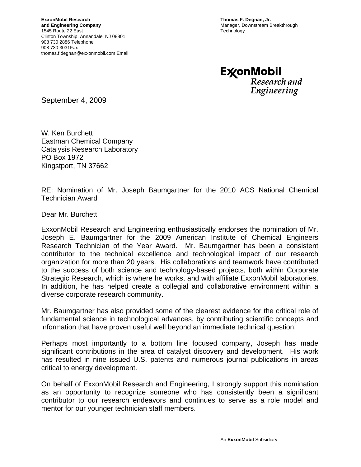**Thomas F. Degnan, Jr.**  Manager, Downstream Breakthrough **Technology** 

**ExconMobil** Research and Engineering

September 4, 2009

W. Ken Burchett Eastman Chemical Company Catalysis Research Laboratory PO Box 1972 Kingstport, TN 37662

RE: Nomination of Mr. Joseph Baumgartner for the 2010 ACS National Chemical Technician Award

Dear Mr. Burchett

ExxonMobil Research and Engineering enthusiastically endorses the nomination of Mr. Joseph E. Baumgartner for the 2009 American Institute of Chemical Engineers Research Technician of the Year Award. Mr. Baumgartner has been a consistent contributor to the technical excellence and technological impact of our research organization for more than 20 years. His collaborations and teamwork have contributed to the success of both science and technology-based projects, both within Corporate Strategic Research, which is where he works, and with affiliate ExxonMobil laboratories. In addition, he has helped create a collegial and collaborative environment within a diverse corporate research community.

Mr. Baumgartner has also provided some of the clearest evidence for the critical role of fundamental science in technological advances, by contributing scientific concepts and information that have proven useful well beyond an immediate technical question.

Perhaps most importantly to a bottom line focused company, Joseph has made significant contributions in the area of catalyst discovery and development. His work has resulted in nine issued U.S. patents and numerous journal publications in areas critical to energy development.

On behalf of ExxonMobil Research and Engineering, I strongly support this nomination as an opportunity to recognize someone who has consistently been a significant contributor to our research endeavors and continues to serve as a role model and mentor for our younger technician staff members.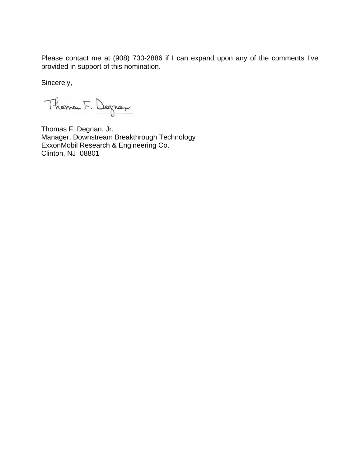Please contact me at (908) 730-2886 if I can expand upon any of the comments I've provided in support of this nomination.

Sincerely,

Thomas F. Degros

Thomas F. Degnan, Jr. Manager, Downstream Breakthrough Technology ExxonMobil Research & Engineering Co. Clinton, NJ 08801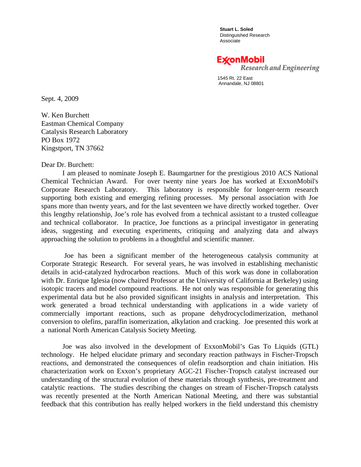**Stuart L. Soled**  Distinguished Research Associate

Ex⁄onMobil

Research and Engineering

 1545 Rt. 22 East Annandale, NJ 08801

Sept. 4, 2009

W. Ken Burchett Eastman Chemical Company Catalysis Research Laboratory PO Box 1972 Kingstport, TN 37662

## Dear Dr. Burchett:

 I am pleased to nominate Joseph E. Baumgartner for the prestigious 2010 ACS National Chemical Technician Award. For over twenty nine years Joe has worked at ExxonMobil's Corporate Research Laboratory. This laboratory is responsible for longer-term research supporting both existing and emerging refining processes. My personal association with Joe spans more than twenty years, and for the last seventeen we have directly worked together. Over this lengthy relationship, Joe's role has evolved from a technical assistant to a trusted colleague and technical collaborator. In practice, Joe functions as a principal investigator in generating ideas, suggesting and executing experiments, critiquing and analyzing data and always approaching the solution to problems in a thoughtful and scientific manner.

 Joe has been a significant member of the heterogeneous catalysis community at Corporate Strategic Research. For several years, he was involved in establishing mechanistic details in acid-catalyzed hydrocarbon reactions. Much of this work was done in collaboration with Dr. Enrique Iglesia (now chaired Professor at the University of California at Berkeley) using isotopic tracers and model compound reactions. He not only was responsible for generating this experimental data but he also provided significant insights in analysis and interpretation. This work generated a broad technical understanding with applications in a wide variety of commercially important reactions, such as propane dehydrocyclodimerization, methanol conversion to olefins, paraffin isomerization, alkylation and cracking. Joe presented this work at a national North American Catalysis Society Meeting.

 Joe was also involved in the development of ExxonMobil's Gas To Liquids (GTL) technology. He helped elucidate primary and secondary reaction pathways in Fischer-Tropsch reactions, and demonstrated the consequences of olefin readsorption and chain initiation. His characterization work on Exxon's proprietary AGC-21 Fischer-Tropsch catalyst increased our understanding of the structural evolution of these materials through synthesis, pre-treatment and catalytic reactions. The studies describing the changes on stream of Fischer-Tropsch catalysts was recently presented at the North American National Meeting, and there was substantial feedback that this contribution has really helped workers in the field understand this chemistry